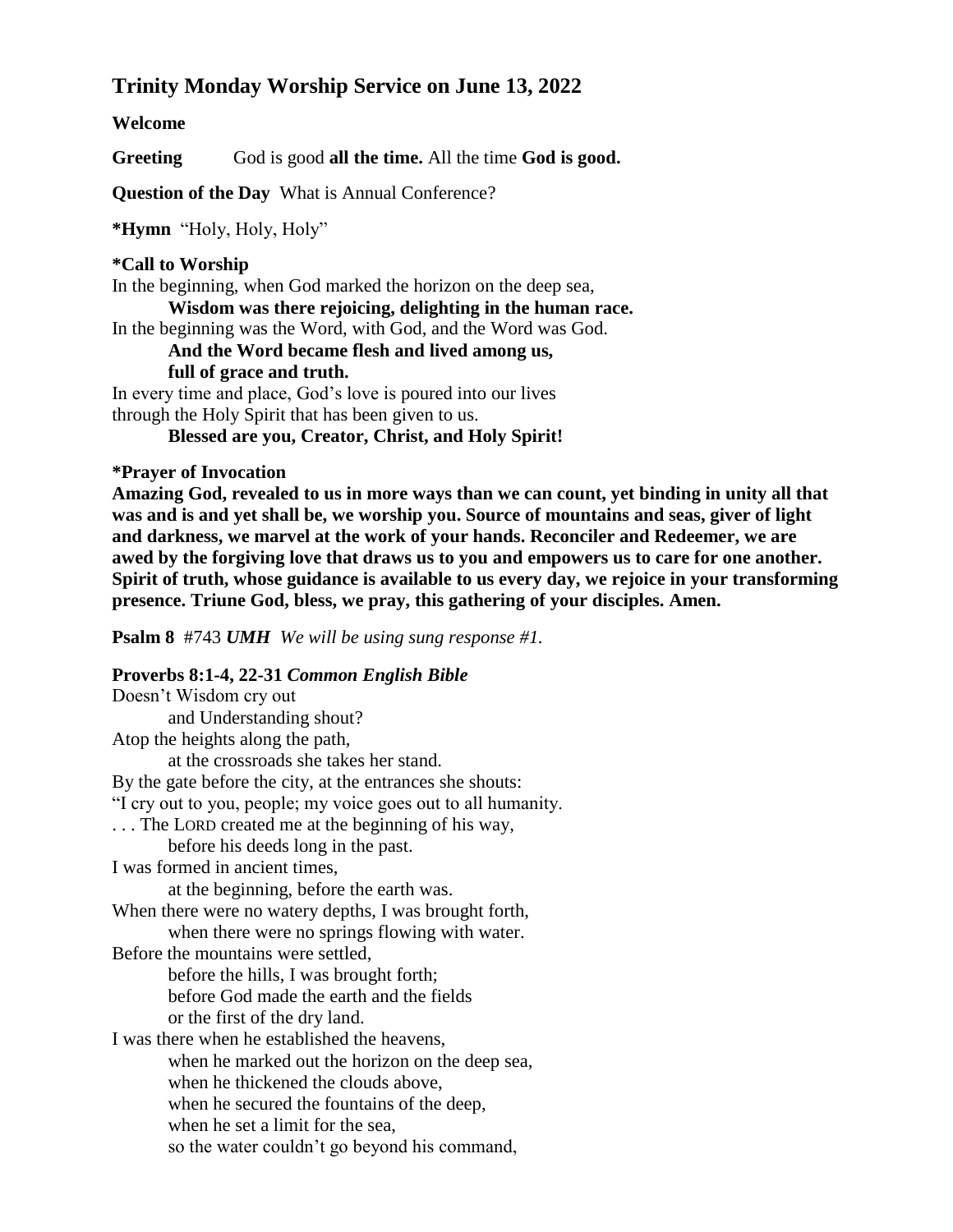# **Trinity Monday Worship Service on June 13, 2022**

### **Welcome**

Greeting God is good all the time. All the time God is good.

**Question of the Day** What is Annual Conference?

**\*Hymn** "Holy, Holy, Holy"

## **\*Call to Worship**

In the beginning, when God marked the horizon on the deep sea,

**Wisdom was there rejoicing, delighting in the human race.**

In the beginning was the Word, with God, and the Word was God.

# **And the Word became flesh and lived among us,**

**full of grace and truth.**

In every time and place, God's love is poured into our lives through the Holy Spirit that has been given to us.

**Blessed are you, Creator, Christ, and Holy Spirit!**

## **\*Prayer of Invocation**

**Amazing God, revealed to us in more ways than we can count, yet binding in unity all that was and is and yet shall be, we worship you. Source of mountains and seas, giver of light and darkness, we marvel at the work of your hands. Reconciler and Redeemer, we are awed by the forgiving love that draws us to you and empowers us to care for one another. Spirit of truth, whose guidance is available to us every day, we rejoice in your transforming presence. Triune God, bless, we pray, this gathering of your disciples. Amen.**

**Psalm 8** #743 *UMH We will be using sung response #1.*

## **Proverbs 8:1-4, 22-31** *Common English Bible*

Doesn't Wisdom cry out and Understanding shout? Atop the heights along the path, at the crossroads she takes her stand. By the gate before the city, at the entrances she shouts: "I cry out to you, people; my voice goes out to all humanity. . . . The LORD created me at the beginning of his way, before his deeds long in the past. I was formed in ancient times, at the beginning, before the earth was. When there were no watery depths, I was brought forth, when there were no springs flowing with water. Before the mountains were settled, before the hills, I was brought forth; before God made the earth and the fields or the first of the dry land. I was there when he established the heavens, when he marked out the horizon on the deep sea, when he thickened the clouds above, when he secured the fountains of the deep, when he set a limit for the sea, so the water couldn't go beyond his command,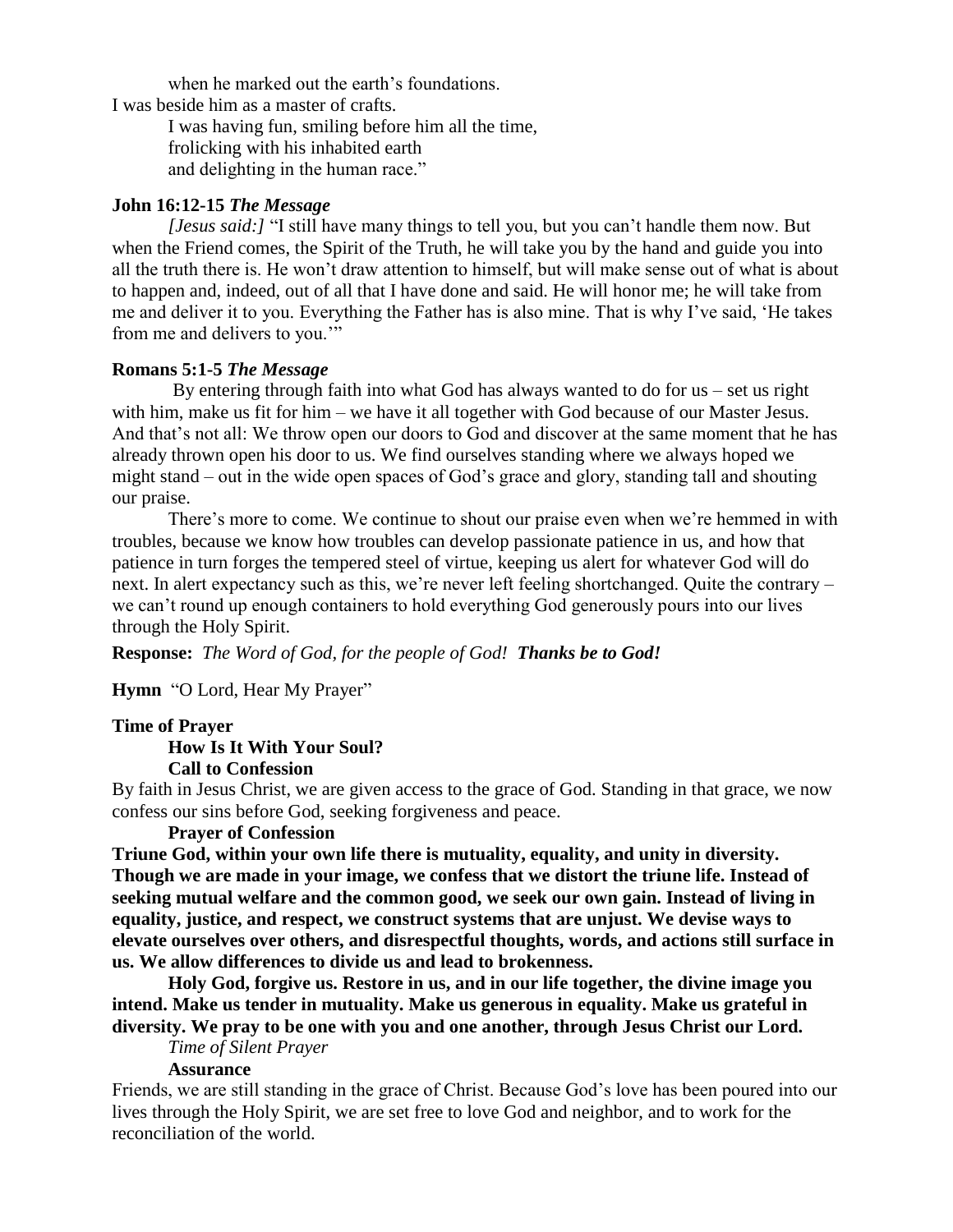when he marked out the earth's foundations. I was beside him as a master of crafts.

> I was having fun, smiling before him all the time, frolicking with his inhabited earth and delighting in the human race."

#### **John 16:12-15** *The Message*

*[Jesus said:]* "I still have many things to tell you, but you can't handle them now. But when the Friend comes, the Spirit of the Truth, he will take you by the hand and guide you into all the truth there is. He won't draw attention to himself, but will make sense out of what is about to happen and, indeed, out of all that I have done and said. He will honor me; he will take from me and deliver it to you. Everything the Father has is also mine. That is why I've said, 'He takes from me and delivers to you.'"

### **Romans 5:1-5** *The Message*

By entering through faith into what God has always wanted to do for us – set us right with him, make us fit for him – we have it all together with God because of our Master Jesus. And that's not all: We throw open our doors to God and discover at the same moment that he has already thrown open his door to us. We find ourselves standing where we always hoped we might stand – out in the wide open spaces of God's grace and glory, standing tall and shouting our praise.

There's more to come. We continue to shout our praise even when we're hemmed in with troubles, because we know how troubles can develop passionate patience in us, and how that patience in turn forges the tempered steel of virtue, keeping us alert for whatever God will do next. In alert expectancy such as this, we're never left feeling shortchanged. Quite the contrary – we can't round up enough containers to hold everything God generously pours into our lives through the Holy Spirit.

**Response:** *The Word of God, for the people of God! Thanks be to God!*

**Hymn** "O Lord, Hear My Prayer"

### **Time of Prayer**

#### **How Is It With Your Soul? Call to Confession**

By faith in Jesus Christ, we are given access to the grace of God. Standing in that grace, we now confess our sins before God, seeking forgiveness and peace.

### **Prayer of Confession**

**Triune God, within your own life there is mutuality, equality, and unity in diversity. Though we are made in your image, we confess that we distort the triune life. Instead of seeking mutual welfare and the common good, we seek our own gain. Instead of living in equality, justice, and respect, we construct systems that are unjust. We devise ways to elevate ourselves over others, and disrespectful thoughts, words, and actions still surface in us. We allow differences to divide us and lead to brokenness.**

**Holy God, forgive us. Restore in us, and in our life together, the divine image you intend. Make us tender in mutuality. Make us generous in equality. Make us grateful in diversity. We pray to be one with you and one another, through Jesus Christ our Lord.**

# *Time of Silent Prayer*

### **Assurance**

Friends, we are still standing in the grace of Christ. Because God's love has been poured into our lives through the Holy Spirit, we are set free to love God and neighbor, and to work for the reconciliation of the world.